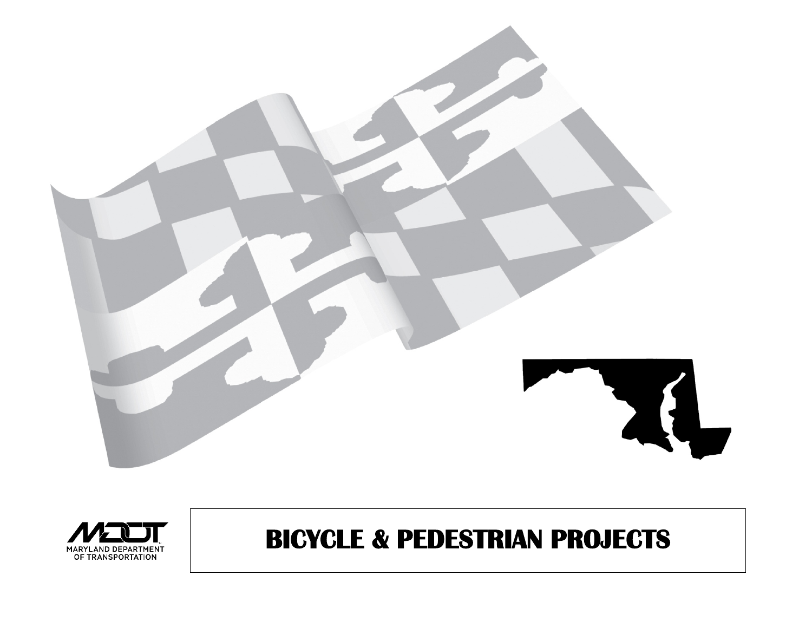



# **BICYCLE & PEDESTRIAN PROJECTS**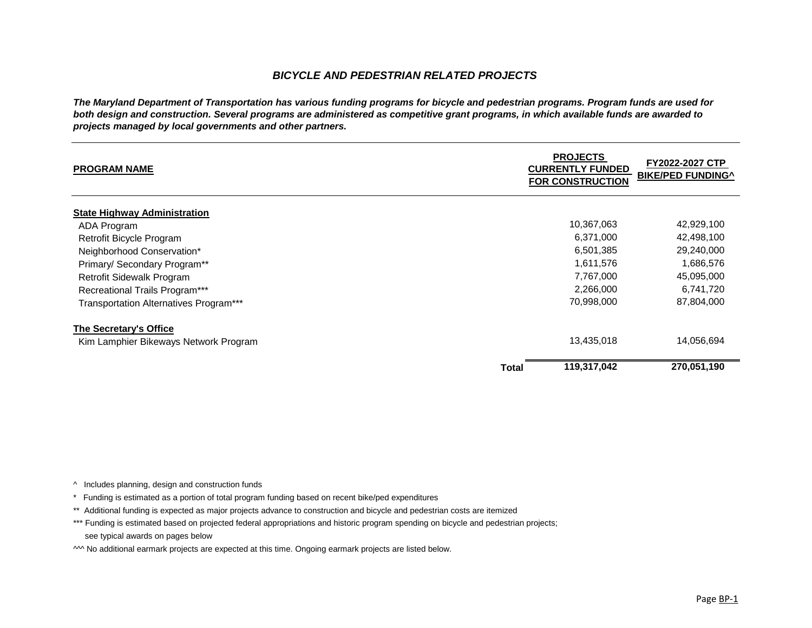#### **ED ON FY2022-2027 CTP BIKE/PED FUNDING^**

| <b>PROGRAM NAME</b>                           |       | <b>PROJECTS</b><br><b>CURRENTLY FUNDED</b><br><b>FOR CONSTRUCTION</b> | FY2022-2027 CTF<br><b>BIKE/PED FUNDING</b> |
|-----------------------------------------------|-------|-----------------------------------------------------------------------|--------------------------------------------|
| <b>State Highway Administration</b>           |       |                                                                       |                                            |
| <b>ADA Program</b>                            |       | 10,367,063                                                            | 42,929,100                                 |
| <b>Retrofit Bicycle Program</b>               |       | 6,371,000                                                             | 42,498,100                                 |
| Neighborhood Conservation*                    |       | 6,501,385                                                             | 29,240,000                                 |
| Primary/ Secondary Program**                  |       | 1,611,576                                                             | 1,686,576                                  |
| <b>Retrofit Sidewalk Program</b>              |       | 7,767,000                                                             | 45,095,000                                 |
| <b>Recreational Trails Program***</b>         |       | 2,266,000                                                             | 6,741,720                                  |
| <b>Transportation Alternatives Program***</b> |       | 70,998,000                                                            | 87,804,000                                 |
| The Secretary's Office                        |       |                                                                       |                                            |
| Kim Lamphier Bikeways Network Program         |       | 13,435,018                                                            | 14,056,694                                 |
|                                               | Total | 119,317,042                                                           | 270,051,190                                |

- ^ Includes planning, design and construction funds
- \* Funding is estimated as a portion of total program funding based on recent bike/ped expenditures
- \*\* Additional funding is expected as major projects advance to construction and bicycle and pedestrian costs are itemized
- \*\*\* Funding is estimated based on projected federal appropriations and historic program spending on bicycle and pedestrian projects; see typical awards on pages below
- M No additional earmark projects are expected at this time. Ongoing earmark projects are listed below.

**Total 119,317,042 270,051,190**

Page BP-1

#### *BICYCLE AND PEDESTRIAN RELATED PROJECTS*

*The Maryland Department of Transportation has various funding programs for bicycle and pedestrian programs. Program funds are used for both design and construction. Several programs are administered as competitive grant programs, in which available funds are awarded to projects managed by local governments and other partners.*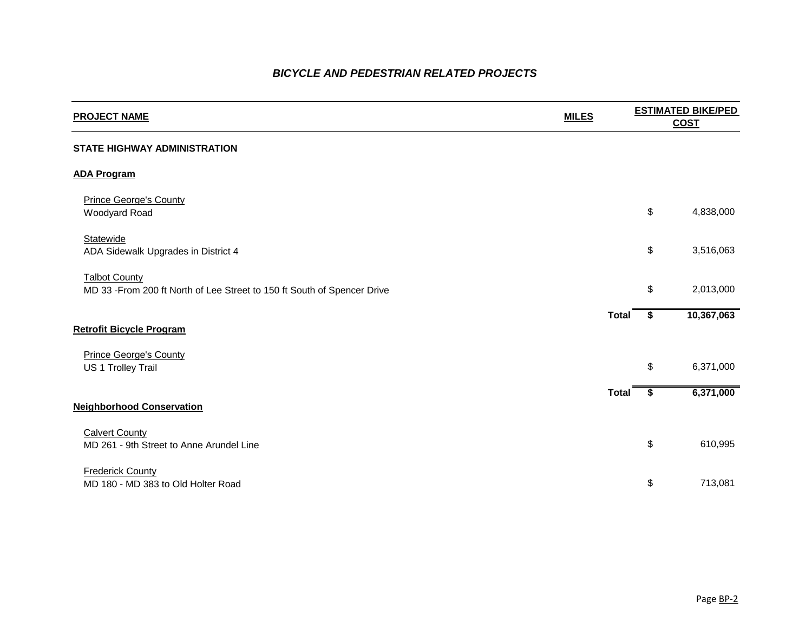### *BICYCLE AND PEDESTRIAN RELATED PROJECTS*

# **PROJECT NAME MILES ESTIMATED BIKE/PED COST STATE HIGHWAY ADMINISTRATION ADA Program** Prince George's County woodyard Road \$ 4,838,000 **Statewide** ADA Sidewalk Upgrades in District 4  $\qquad \qquad$  3,516,063 **Talbot County** MD 33 -From 200 ft North of Lee Street to 150 ft South of Spencer Drive  $$3013,000$ **Total \$ 10,367,063 Retrofit Bicycle Program** Prince George's County US 1 Trolley Trail 6,371,000 **Total \$ 6,371,000 Neighborhood Conservation Calvert County** MD 261 - 9th Street to Anne Arundel Line 610,995 **Frederick County** MD 180 - MD 383 to Old Holter Road  $$$  713,081

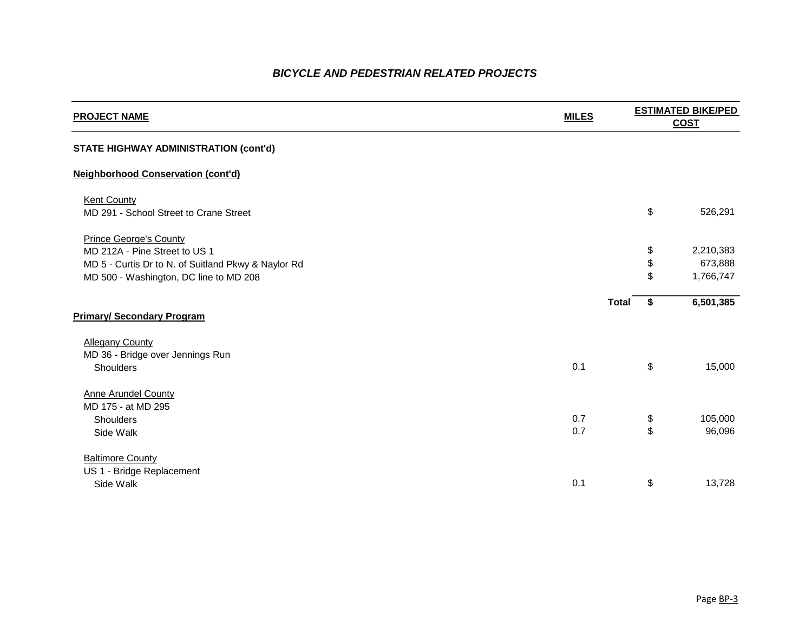#### **PROJECT IMATED BIKE/PED COST**

| <b>PROJECT NAME</b>                                                                                                   | <b>MILES</b> |                           | <b>ESTIMATED BIKE/PED</b><br><b>COST</b> |
|-----------------------------------------------------------------------------------------------------------------------|--------------|---------------------------|------------------------------------------|
| <b>STATE HIGHWAY ADMINISTRATION (cont'd)</b>                                                                          |              |                           |                                          |
| <b>Neighborhood Conservation (cont'd)</b>                                                                             |              |                           |                                          |
| <b>Kent County</b><br>MD 291 - School Street to Crane Street                                                          |              | \$                        | 526,291                                  |
| <b>Prince George's County</b><br>MD 212A - Pine Street to US 1<br>MD 5 - Curtis Dr to N. of Suitland Pkwy & Naylor Rd |              | \$<br>\$                  | 2,210,383<br>673,888                     |
| MD 500 - Washington, DC line to MD 208                                                                                |              | \$                        | 1,766,747                                |
| <b>Primary/ Secondary Program</b>                                                                                     |              | <b>Total</b><br>-S        | 6,501,385                                |
| <b>Allegany County</b>                                                                                                |              |                           |                                          |
| MD 36 - Bridge over Jennings Run<br><b>Shoulders</b>                                                                  | 0.1          | \$                        | 15,000                                   |
| <b>Anne Arundel County</b><br>MD 175 - at MD 295                                                                      |              |                           |                                          |
| <b>Shoulders</b>                                                                                                      | 0.7          | \$                        | 105,000                                  |
| Side Walk                                                                                                             | 0.7          | \$                        | 96,096                                   |
| <b>Baltimore County</b>                                                                                               |              |                           |                                          |
| US 1 - Bridge Replacement<br>Side Walk                                                                                | 0.1          | $\boldsymbol{\mathsf{S}}$ | 13,728                                   |
|                                                                                                                       |              |                           |                                          |

|              | \$             | 526,291                           |
|--------------|----------------|-----------------------------------|
|              | \$<br>\$<br>\$ | 2,210,383<br>673,888<br>1,766,747 |
| <b>Total</b> | \$             | 6,501,385                         |
|              | \$             | 15,000                            |
|              | \$<br>\$       | 105,000<br>96,096                 |
|              | \$             | 13,728                            |

### *BICYCLE AND PEDESTRIAN RELATED PROJECTS*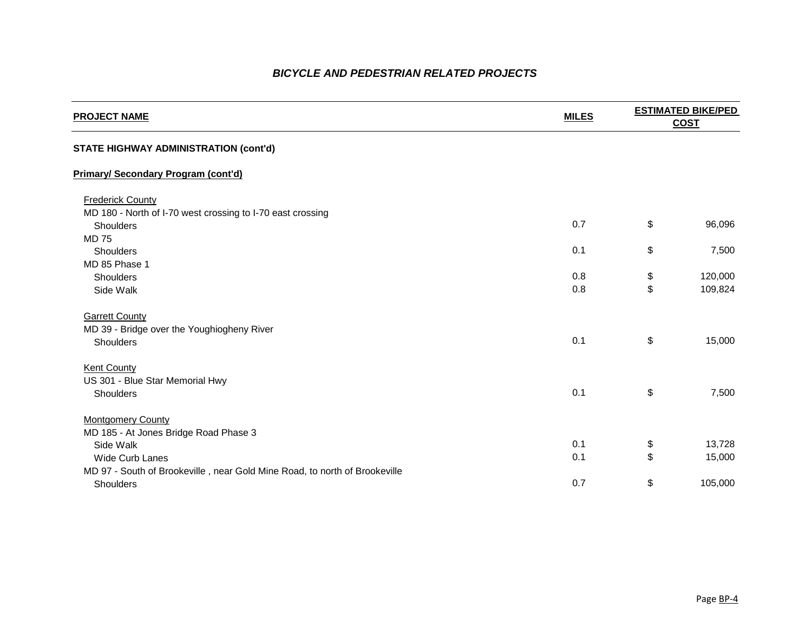### **PROJECT NAME OF STRUMATED BIKE/PED COST**

| \$       | 96,096             |
|----------|--------------------|
| \$       | 7,500              |
| \$<br>\$ | 120,000<br>109,824 |
| \$       | 15,000             |
| \$       | 7,500              |
| \$<br>\$ | 13,728<br>15,000   |
| ደ        | 1በ5 በበበ            |

| <b>PROJECT NAME</b>                                                        | <b>MILES</b> |                            | <b>ESTIMATED BIKE/PED</b> |
|----------------------------------------------------------------------------|--------------|----------------------------|---------------------------|
|                                                                            |              |                            | <b>COST</b>               |
| <b>STATE HIGHWAY ADMINISTRATION (cont'd)</b>                               |              |                            |                           |
| <b>Primary/ Secondary Program (cont'd)</b>                                 |              |                            |                           |
| <b>Frederick County</b>                                                    |              |                            |                           |
| MD 180 - North of I-70 west crossing to I-70 east crossing                 |              |                            |                           |
| <b>Shoulders</b>                                                           | 0.7          | $\boldsymbol{\mathsf{S}}$  | 96,096                    |
| <b>MD 75</b>                                                               |              |                            |                           |
| <b>Shoulders</b>                                                           | 0.1          | $\boldsymbol{\mathsf{S}}$  | 7,500                     |
| MD 85 Phase 1                                                              |              |                            |                           |
| <b>Shoulders</b>                                                           | 0.8          | $\boldsymbol{\mathsf{\$}}$ | 120,000                   |
| Side Walk                                                                  | 0.8          | $\boldsymbol{\mathsf{S}}$  | 109,824                   |
| <b>Garrett County</b>                                                      |              |                            |                           |
| MD 39 - Bridge over the Youghiogheny River                                 |              |                            |                           |
| <b>Shoulders</b>                                                           | 0.1          | $\boldsymbol{\mathsf{S}}$  | 15,000                    |
| <b>Kent County</b>                                                         |              |                            |                           |
| US 301 - Blue Star Memorial Hwy                                            |              |                            |                           |
| <b>Shoulders</b>                                                           | 0.1          | $\boldsymbol{\mathsf{\$}}$ | 7,500                     |
| <b>Montgomery County</b>                                                   |              |                            |                           |
| MD 185 - At Jones Bridge Road Phase 3                                      |              |                            |                           |
| Side Walk                                                                  | 0.1          | $\boldsymbol{\mathsf{\$}}$ | 13,728                    |
| <b>Wide Curb Lanes</b>                                                     | 0.1          | $\boldsymbol{\mathsf{S}}$  | 15,000                    |
| MD 97 - South of Brookeville, near Gold Mine Road, to north of Brookeville |              |                            |                           |
| <b>Shoulders</b>                                                           | 0.7          | $\boldsymbol{\mathsf{S}}$  | 105,000                   |

### *BICYCLE AND PEDESTRIAN RELATED PROJECTS*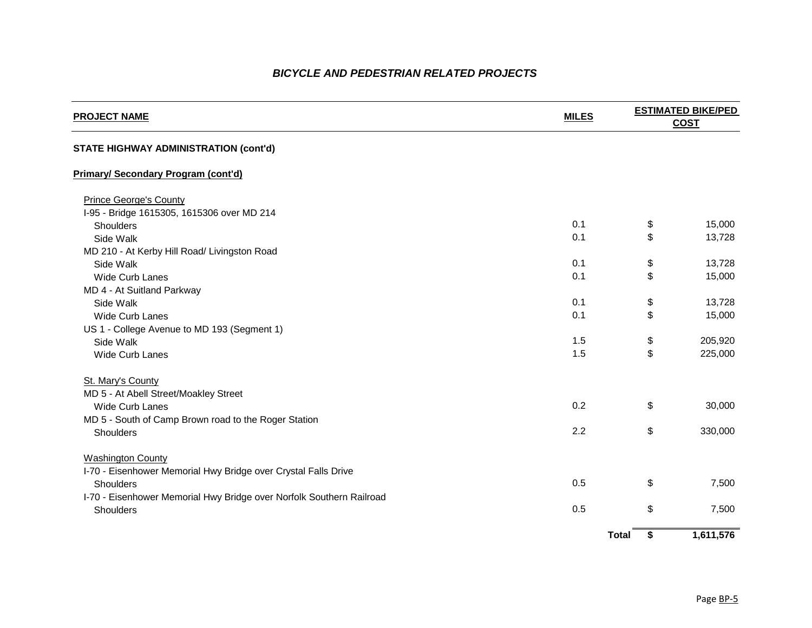# **COST**

| \$<br>1,611,576 |
|-----------------|
| \$<br>7,500     |
| \$<br>7,500     |
|                 |
| \$<br>330,000   |
| \$<br>30,000    |
|                 |
| \$<br>225,000   |
| \$<br>205,920   |
|                 |
| \$<br>15,000    |
| \$<br>13,728    |
| \$<br>15,000    |
| \$<br>13,728    |
| \$<br>13,728    |
| \$<br>15,000    |

## **PROJECT NAME MILES ESTIMATED BIKE/PED STATE HIGHWAY ADMINISTRATION (cont'd) Primary/ Secondary Program (cont'd)** Prince George's County I-95 - Bridge 1615305, 1615306 over MD 214 Shoulders 0.1 \$ 15,000 Side Walk 0.1 \$ 13,728 MD 210 - At Kerby Hill Road/ Livingston Road Side Walk 0.1 \$ 13,728 Wide Curb Lanes 0.1 MD 4 - At Suitland Parkway Side Walk 0.1 \$ 13,728 Wide Curb Lanes 0.1 US 1 - College Avenue to MD 193 (Segment 1) Side Walk  $\sim$  205,920 Wide Curb Lanes 1.5 \$ 225,000 St. Mary's County MD 5 - At Abell Street/Moakley Street Wide Curb Lanes 0.2 MD 5 - South of Camp Brown road to the Roger Station Shoulders 2.2 \$ 330,000 **Washington County** I-70 - Eisenhower Memorial Hwy Bridge over Crystal Falls Drive Shoulders 0.5 \$ 7,500 I-70 - Eisenhower Memorial Hwy Bridge over Norfolk Southern Railroad Shoulders 0.5 \$ 7,500

**Total \$ 1,611,576**

### *BICYCLE AND PEDESTRIAN RELATED PROJECTS*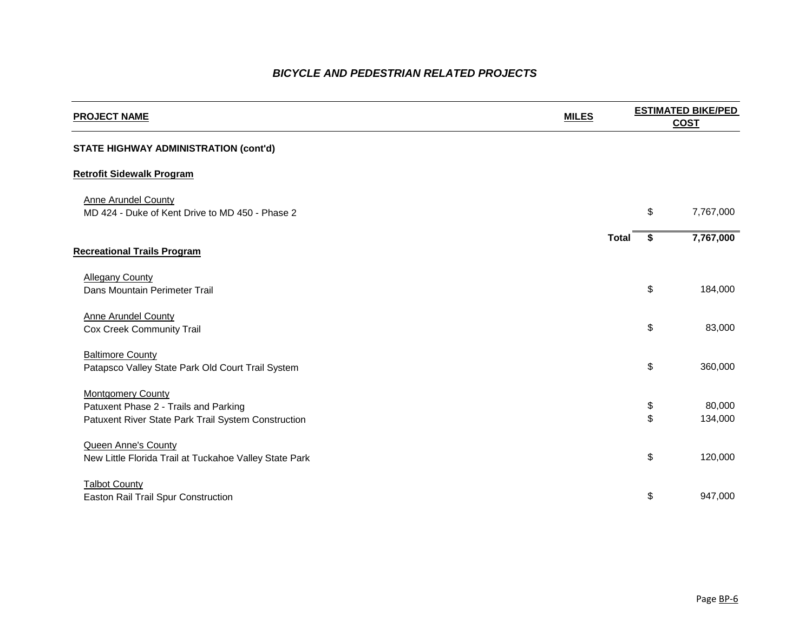#### **STATE HIGHWAY ADMINISTRATION (cont'd)**

#### **Retrofit Sidewalk Program**

**Anne Arundel County** MD 424 - Duke of Kent Drive to MD 450 - Phase 2

Anne Arundel County Cox Creek Community Trail

#### **Baltimore County** Patapsco Valley State Park Old Court Trail System

**Montgomery County** Patuxent Phase 2 - Trails and Parking Patuxent River State Park Trail System Construction

|              | \$<br>7,767,000 |
|--------------|-----------------|
| <b>Total</b> | \$<br>7,767,000 |
|              |                 |
|              | \$<br>184,000   |
|              |                 |
|              | \$<br>83,000    |
|              |                 |
|              | \$<br>360,000   |
|              | \$<br>80,000    |
|              | \$<br>134,000   |
|              |                 |
|              | \$<br>120,000   |
|              | \$<br>947,000   |

#### **Recreational Trails Program**

**Allegany County** Dans Mountain Perimeter Trail

Queen Anne's County New Little Florida Trail at Tuckahoe Valley State Park

**Talbot County** Easton Rail Trail Spur Construction

### *BICYCLE AND PEDESTRIAN RELATED PROJECTS*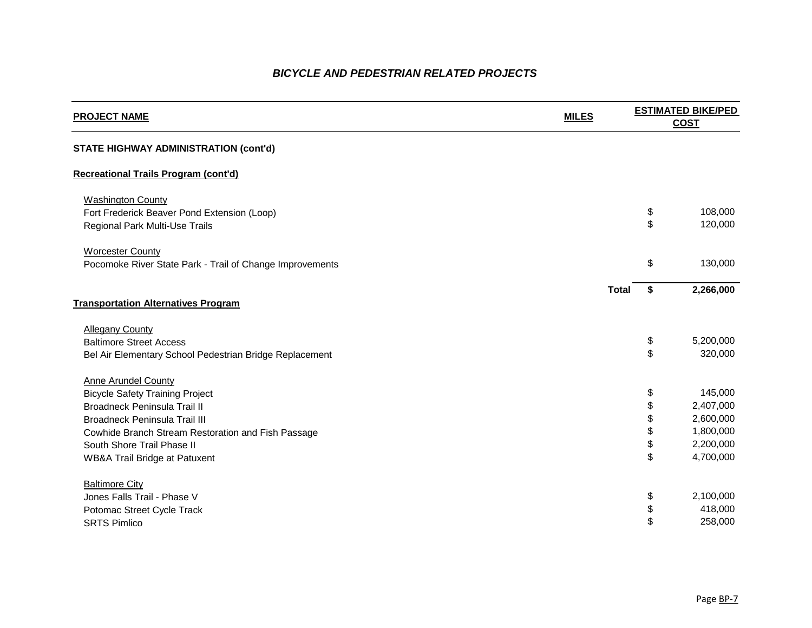#### **STATE HIGHWAY ADMINISTRATION (cont'd)**

#### **Recreational Trails Program (cont'd)**

**Washington County** Fort Frederick Beaver Pond Extension (Loop) Regional Park Multi-Use Trails

**Worcester County** Pocomoke River State Park - Trail of Change Improvements

Allegany County **Baltimore Street Access** Bel Air Elementary School Pedestrian Bridge Replacement

**Anne Arundel County Bicycle Safety Training Project** Broadneck Peninsula Trail II Broadneck Peninsula Trail III Cowhide Branch Stream Restoration and Fish Passage South Shore Trail Phase II WB&A Trail Bridge at Patuxent

|       | \$<br>108,000   |
|-------|-----------------|
|       | \$<br>120,000   |
|       |                 |
|       | \$<br>130,000   |
|       |                 |
| Total | \$<br>2,266,000 |
|       |                 |
|       |                 |
|       | \$<br>5,200,000 |
|       | \$<br>320,000   |
|       |                 |
|       | \$<br>145,000   |
|       | \$<br>2,407,000 |
|       | \$<br>2,600,000 |
|       | \$<br>1,800,000 |
|       | \$<br>2,200,000 |
|       | \$<br>4,700,000 |
|       |                 |
|       |                 |
|       | \$<br>2,100,000 |
|       | \$<br>418,000   |
|       | \$<br>258,000   |
|       |                 |

#### **Transportation Alternatives Program**

**Baltimore City** Jones Falls Trail - Phase V Potomac Street Cycle Track SRTS Pimlico \$ 258,000

### *BICYCLE AND PEDESTRIAN RELATED PROJECTS*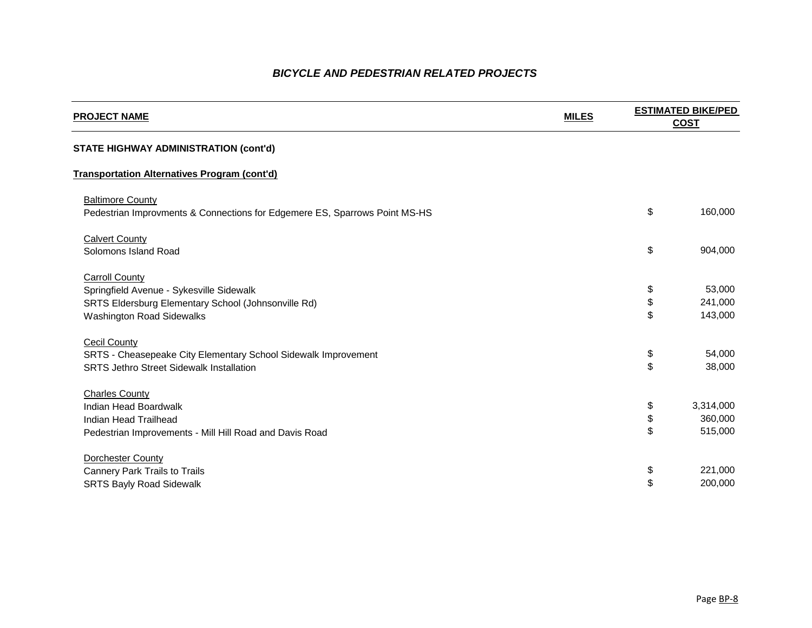| \$  | 160,000   |
|-----|-----------|
| \$  | 904,000   |
| \$  | 53,000    |
| \$  | 241,000   |
| \$  | 143,000   |
| \$  | 54,000    |
| \$  | 38,000    |
| \$  | 3,314,000 |
| \$  | 360,000   |
| \$  | 515,000   |
| \$  | 221,000   |
| \$. | 200 000   |

#### **STATE HIGHWAY ADMINISTRATION (cont'd)**

#### **Transportation Alternatives Program (cont'd)**

**Baltimore County** Pedestrian Improvments & Connections for Edgemere ES, Sparrows Point MS-HS

**Calvert County** Solomons Island Road

**Carroll County** Springfield Avenue - Sykesville Sidewalk SRTS Eldersburg Elementary School (Johnsonville Rd) **Washington Road Sidewalks** 

**Cecil County** SRTS - Cheasepeake City Elementary School Sidewalk Improvement **SRTS Jethro Street Sidewalk Installation** 

Charles County **Indian Head Boardwalk** Indian Head Trailhead Pedestrian Improvements - Mill Hill Road and Davis Road

**Dorchester County** Cannery Park Trails to Trails SRTS Bayly Road Sidewalk  $\sim$  200,000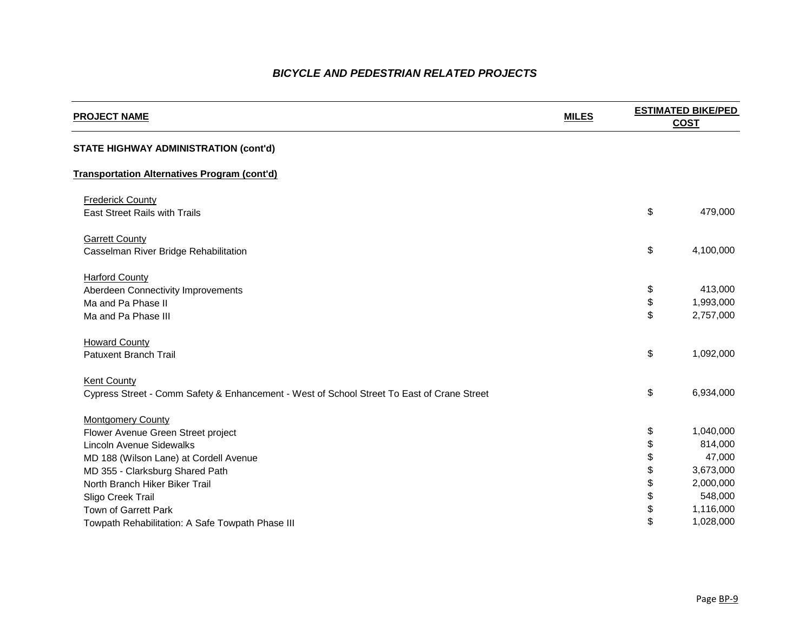| \$             | 479,000                           |
|----------------|-----------------------------------|
| \$             | 4,100,000                         |
| \$<br>\$<br>\$ | 413,000<br>1,993,000<br>2,757,000 |
| \$             | 1,092,000                         |
| \$             | 6,934,000                         |
| \$             | 1,040,000                         |
| \$             | 814,000                           |
| \$             | 47,000                            |
| \$             | 3,673,000                         |
| \$             | 2,000,000                         |
| \$             | 548,000                           |
| \$             | 1,116,000                         |
| \$             | 1,028,000                         |

#### **STATE HIGHWAY ADMINISTRATION (cont'd)**

#### **Transportation Alternatives Program (cont'd)**

**Frederick County** East Street Rails with Trails

**Garrett County** Casselman River Bridge Rehabilitation

**Harford County** Aberdeen Connectivity Improvements Ma and Pa Phase II Ma and Pa Phase III

Howard County **Patuxent Branch Trail** 

**Kent County** Cypress Street - Comm Safety & Enhancement - West of School Street To East of Crane Street

**Montgomery County** Flower Avenue Green Street project **Lincoln Avenue Sidewalks** MD 188 (Wilson Lane) at Cordell Avenue MD 355 - Clarksburg Shared Path North Branch Hiker Biker Trail Sligo Creek Trail Town of Garrett Park Towpath Rehabilitation: A Safe Towpath Phase III

### *BICYCLE AND PEDESTRIAN RELATED PROJECTS*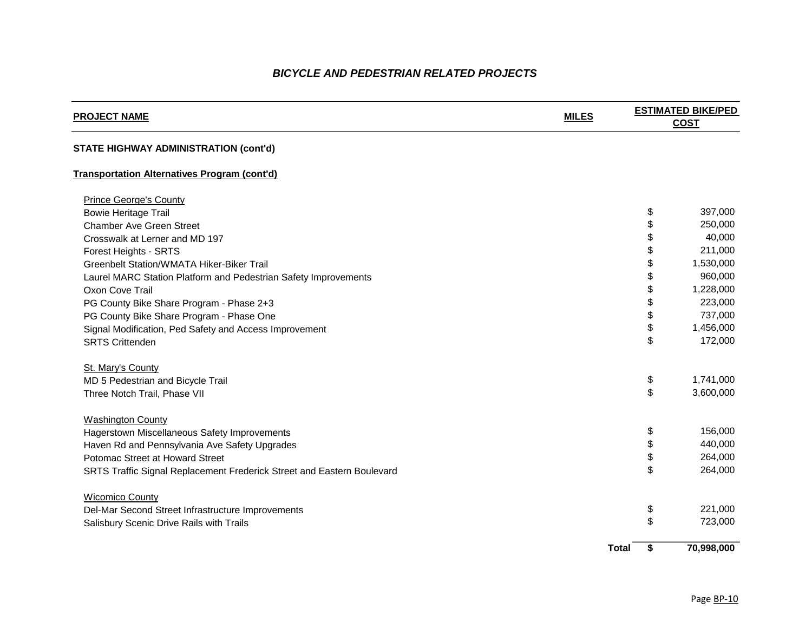| \$<br>70,998,000 |
|------------------|
|                  |
| \$<br>723,000    |
| \$<br>221,000    |
| \$<br>264,000    |
| \$<br>264,000    |
| \$<br>440,000    |
| \$<br>156,000    |
|                  |
| \$<br>3,600,000  |
| \$<br>1,741,000  |
| \$<br>172,000    |
| \$<br>1,456,000  |
| \$<br>737,000    |
| \$<br>223,000    |
| \$<br>1,228,000  |
| \$<br>960,000    |
| \$<br>1,530,000  |
| \$<br>211,000    |
| \$<br>40,000     |
| \$<br>250,000    |
| \$<br>397,000    |

#### **STATE HIGHWAY ADMINISTRATION (cont'd)**

#### **Transportation Alternatives Program (cont'd)**

Prince George's County **Bowie Heritage Trail Chamber Ave Green Street** Crosswalk at Lerner and MD 197 Forest Heights - SRTS Greenbelt Station/WMATA Hiker-Biker Trail Laurel MARC Station Platform and Pedestrian Safety Improvements Oxon Cove Trail \$ 1,228,000 PG County Bike Share Program - Phase 2+3 PG County Bike Share Program - Phase One Signal Modification, Ped Safety and Access Improvement SRTS Crittenden \$ 172,000

St. Mary's County MD 5 Pedestrian and Bicycle Trail Three Notch Trail, Phase VII

**Washington County** Hagerstown Miscellaneous Safety Improvements Haven Rd and Pennsylvania Ave Safety Upgrades Potomac Street at Howard Street SRTS Traffic Signal Replacement Frederick Street and Eastern Boulevard

Wicomico County Del-Mar Second Street Infrastructure Improvements Salisbury Scenic Drive Rails with Trails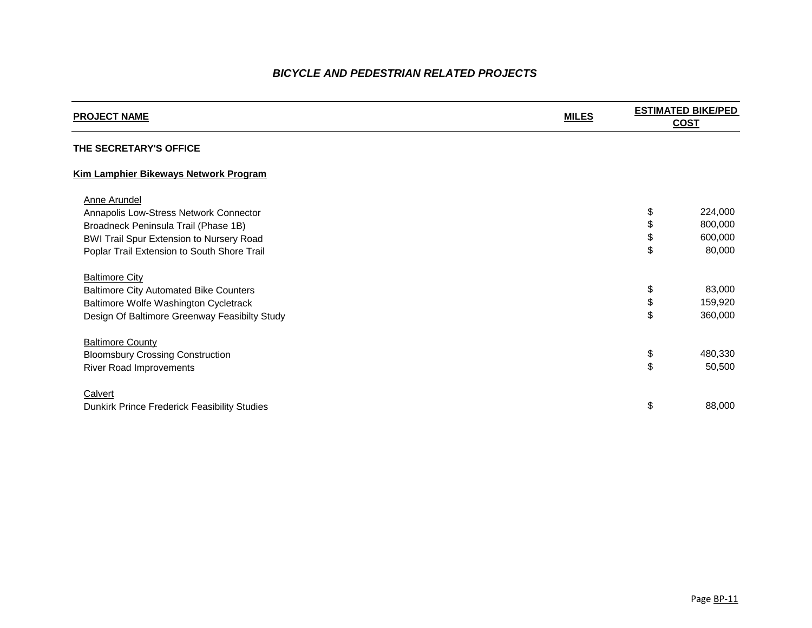| 800,000 |
|---------|
|         |
| 600,000 |
| 80,000  |
|         |
|         |
| 83,000  |
| 159,920 |
| 360,000 |
|         |
|         |
| 480,330 |
| 50,500  |
|         |
| 88,000  |
|         |

Page BP-11

#### **THE SECRETARY'S OFFICE**

#### **Kim Lamphier Bikeways Network Program**

#### Anne Arundel

Annapolis Low-Stress Network Connector Broadneck Peninsula Trail (Phase 1B) BWI Trail Spur Extension to Nursery Road Poplar Trail Extension to South Shore Trail

#### **Baltimore City** Baltimore City Automated Bike Counters Baltimore Wolfe Washington Cycletrack Design Of Baltimore Greenway Feasibilty Study

**Baltimore County Bloomsbury Crossing Construction** River Road Improvements

**Calvert** Dunkirk Prince Frederick Feasibility Studies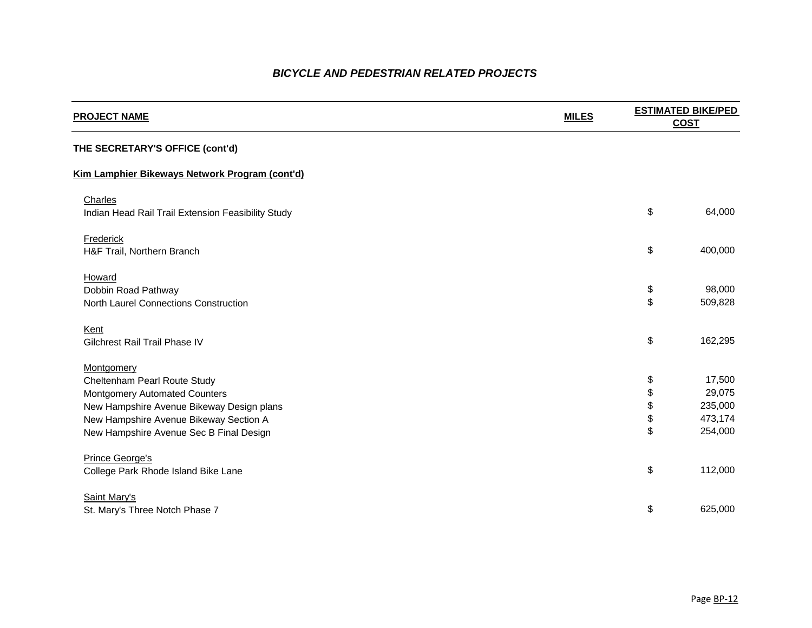| \$                         | 64,000                                            |
|----------------------------|---------------------------------------------------|
| \$                         | 400,000                                           |
| \$<br>\$                   | 98,000<br>509,828                                 |
| \$                         | 162,295                                           |
| \$<br>\$<br>\$<br>\$<br>\$ | 17,500<br>29,075<br>235,000<br>473,174<br>254,000 |
| \$                         | 112,000                                           |
| \$                         | 625,000                                           |

#### **THE SECRETARY'S OFFICE (cont'd)**

#### **Kim Lamphier Bikeways Network Program (cont'd)**

**Charles** Indian Head Rail Trail Extension Feasibility Study

**Frederick** H&F Trail, Northern Branch

**Howard** Dobbin Road Pathway North Laurel Connections Construction

Kent Gilchrest Rail Trail Phase IV

**Montgomery** Cheltenham Pearl Route Study **Montgomery Automated Counters** New Hampshire Avenue Bikeway Design plans New Hampshire Avenue Bikeway Section A New Hampshire Avenue Sec B Final Design

Prince George's College Park Rhode Island Bike Lane

Saint Mary's St. Mary's Three Notch Phase 7